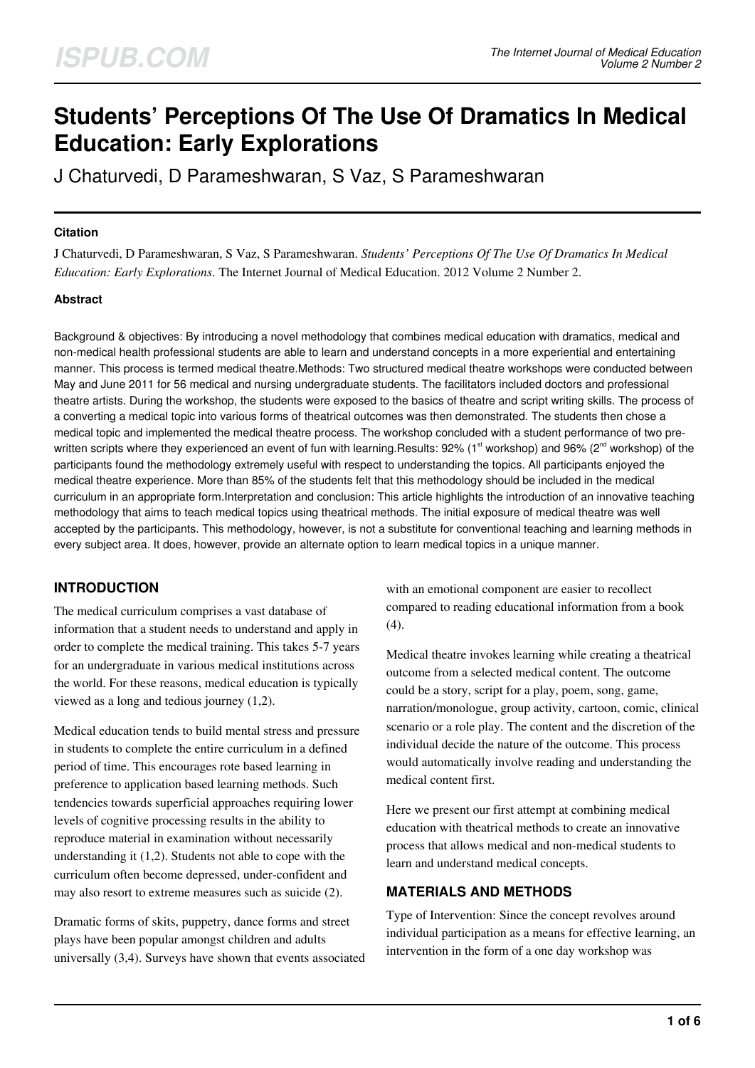# **Students' Perceptions Of The Use Of Dramatics In Medical Education: Early Explorations**

J Chaturvedi, D Parameshwaran, S Vaz, S Parameshwaran

## **Citation**

J Chaturvedi, D Parameshwaran, S Vaz, S Parameshwaran. *Students' Perceptions Of The Use Of Dramatics In Medical Education: Early Explorations*. The Internet Journal of Medical Education. 2012 Volume 2 Number 2.

## **Abstract**

Background & objectives: By introducing a novel methodology that combines medical education with dramatics, medical and non-medical health professional students are able to learn and understand concepts in a more experiential and entertaining manner. This process is termed medical theatre.Methods: Two structured medical theatre workshops were conducted between May and June 2011 for 56 medical and nursing undergraduate students. The facilitators included doctors and professional theatre artists. During the workshop, the students were exposed to the basics of theatre and script writing skills. The process of a converting a medical topic into various forms of theatrical outcomes was then demonstrated. The students then chose a medical topic and implemented the medical theatre process. The workshop concluded with a student performance of two prewritten scripts where they experienced an event of fun with learning.Results: 92% (1<sup>st</sup> workshop) and 96% (2<sup>nd</sup> workshop) of the participants found the methodology extremely useful with respect to understanding the topics. All participants enjoyed the medical theatre experience. More than 85% of the students felt that this methodology should be included in the medical curriculum in an appropriate form.Interpretation and conclusion: This article highlights the introduction of an innovative teaching methodology that aims to teach medical topics using theatrical methods. The initial exposure of medical theatre was well accepted by the participants. This methodology, however, is not a substitute for conventional teaching and learning methods in every subject area. It does, however, provide an alternate option to learn medical topics in a unique manner.

# **INTRODUCTION**

The medical curriculum comprises a vast database of information that a student needs to understand and apply in order to complete the medical training. This takes 5-7 years for an undergraduate in various medical institutions across the world. For these reasons, medical education is typically viewed as a long and tedious journey (1,2).

Medical education tends to build mental stress and pressure in students to complete the entire curriculum in a defined period of time. This encourages rote based learning in preference to application based learning methods. Such tendencies towards superficial approaches requiring lower levels of cognitive processing results in the ability to reproduce material in examination without necessarily understanding it (1,2). Students not able to cope with the curriculum often become depressed, under-confident and may also resort to extreme measures such as suicide (2).

Dramatic forms of skits, puppetry, dance forms and street plays have been popular amongst children and adults universally (3,4). Surveys have shown that events associated with an emotional component are easier to recollect compared to reading educational information from a book (4).

Medical theatre invokes learning while creating a theatrical outcome from a selected medical content. The outcome could be a story, script for a play, poem, song, game, narration/monologue, group activity, cartoon, comic, clinical scenario or a role play. The content and the discretion of the individual decide the nature of the outcome. This process would automatically involve reading and understanding the medical content first.

Here we present our first attempt at combining medical education with theatrical methods to create an innovative process that allows medical and non-medical students to learn and understand medical concepts.

# **MATERIALS AND METHODS**

Type of Intervention: Since the concept revolves around individual participation as a means for effective learning, an intervention in the form of a one day workshop was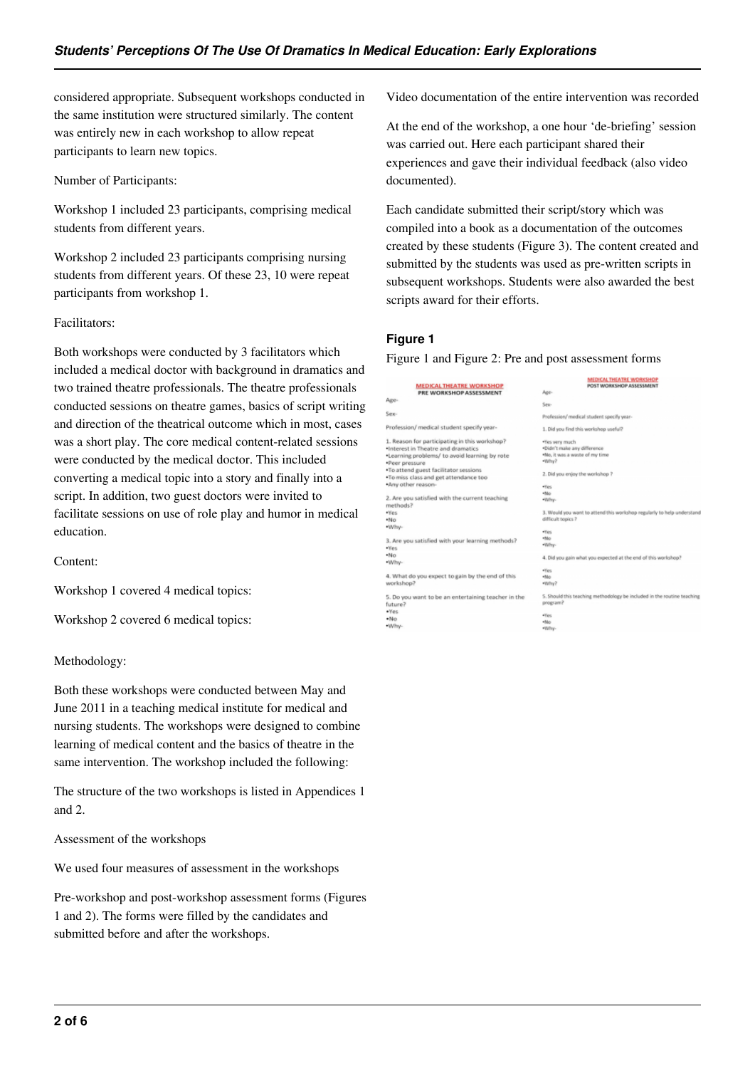considered appropriate. Subsequent workshops conducted in the same institution were structured similarly. The content was entirely new in each workshop to allow repeat participants to learn new topics.

Number of Participants:

Workshop 1 included 23 participants, comprising medical students from different years.

Workshop 2 included 23 participants comprising nursing students from different years. Of these 23, 10 were repeat participants from workshop 1.

## Facilitators:

Both workshops were conducted by 3 facilitators which included a medical doctor with background in dramatics and two trained theatre professionals. The theatre professionals conducted sessions on theatre games, basics of script writing and direction of the theatrical outcome which in most, cases was a short play. The core medical content-related sessions were conducted by the medical doctor. This included converting a medical topic into a story and finally into a script. In addition, two guest doctors were invited to facilitate sessions on use of role play and humor in medical education.

Content:

Workshop 1 covered 4 medical topics:

Workshop 2 covered 6 medical topics:

## Methodology:

Both these workshops were conducted between May and June 2011 in a teaching medical institute for medical and nursing students. The workshops were designed to combine learning of medical content and the basics of theatre in the same intervention. The workshop included the following:

The structure of the two workshops is listed in Appendices 1 and 2.

Assessment of the workshops

We used four measures of assessment in the workshops

Pre-workshop and post-workshop assessment forms (Figures 1 and 2). The forms were filled by the candidates and submitted before and after the workshops.

Video documentation of the entire intervention was recorded

At the end of the workshop, a one hour 'de-briefing' session was carried out. Here each participant shared their experiences and gave their individual feedback (also video documented).

Each candidate submitted their script/story which was compiled into a book as a documentation of the outcomes created by these students (Figure 3). The content created and submitted by the students was used as pre-written scripts in subsequent workshops. Students were also awarded the best scripts award for their efforts.

## **Figure 1**

Figure 1 and Figure 2: Pre and post assessment forms

|                                                                                  | MEDICAL THEATRE WORKSHOP                                                |  |
|----------------------------------------------------------------------------------|-------------------------------------------------------------------------|--|
| <b>MEDICAL THEATRE WORKSHOP</b><br>PRE WORKSHOP ASSESSMENT                       | POST WORKSHOP ASSESSMENT<br>Age-                                        |  |
|                                                                                  |                                                                         |  |
| Age-                                                                             | Sex-                                                                    |  |
| Sex-                                                                             | Profession/ medical student specify year-                               |  |
| Profession/ medical student specify year-                                        | 1. Did you find this workshop useful?                                   |  |
| 1. Reason for participating in this workshop?                                    | . Yes very much                                                         |  |
| . Interest in Theatre and dramatics                                              | *Didn't make any difference                                             |  |
| *Learning problems/ to avoid learning by rote<br>*Peer pressure                  | .No, it was a waste of my time<br>*Why?                                 |  |
| . To attend guest facilitator sessions<br>. To miss class and get attendance too | 2. Did you enjoy the workshop ?                                         |  |
| .Any other reason-                                                               | *Yes                                                                    |  |
|                                                                                  | $+100$                                                                  |  |
| 2. Are you satisfied with the current teaching<br>methods?                       | *Why-                                                                   |  |
| .Yes                                                                             | 3. Would you want to attend this workshop regularly to help understand  |  |
| *No                                                                              | difficult topics?                                                       |  |
| .Why-                                                                            |                                                                         |  |
|                                                                                  | ·Yes                                                                    |  |
| 3. Are you satisfied with your learning methods?                                 | $+10$                                                                   |  |
| . Yes                                                                            | *Why-                                                                   |  |
| *No                                                                              | 4. Did you gain what you expected at the end of this workshop?          |  |
| .Why-                                                                            |                                                                         |  |
|                                                                                  | *Yes                                                                    |  |
| 4. What do you expect to gain by the end of this                                 | $+10$                                                                   |  |
| workshop?                                                                        | *Why?                                                                   |  |
| 5. Do you want to be an entertaining teacher in the                              | 5. Should this teaching methodology be included in the routine teaching |  |
| future?                                                                          | program?                                                                |  |
| ·Yes                                                                             |                                                                         |  |
| $*No$                                                                            | ·Yes<br>$+100$                                                          |  |
| *Why-                                                                            | *Why-                                                                   |  |
|                                                                                  |                                                                         |  |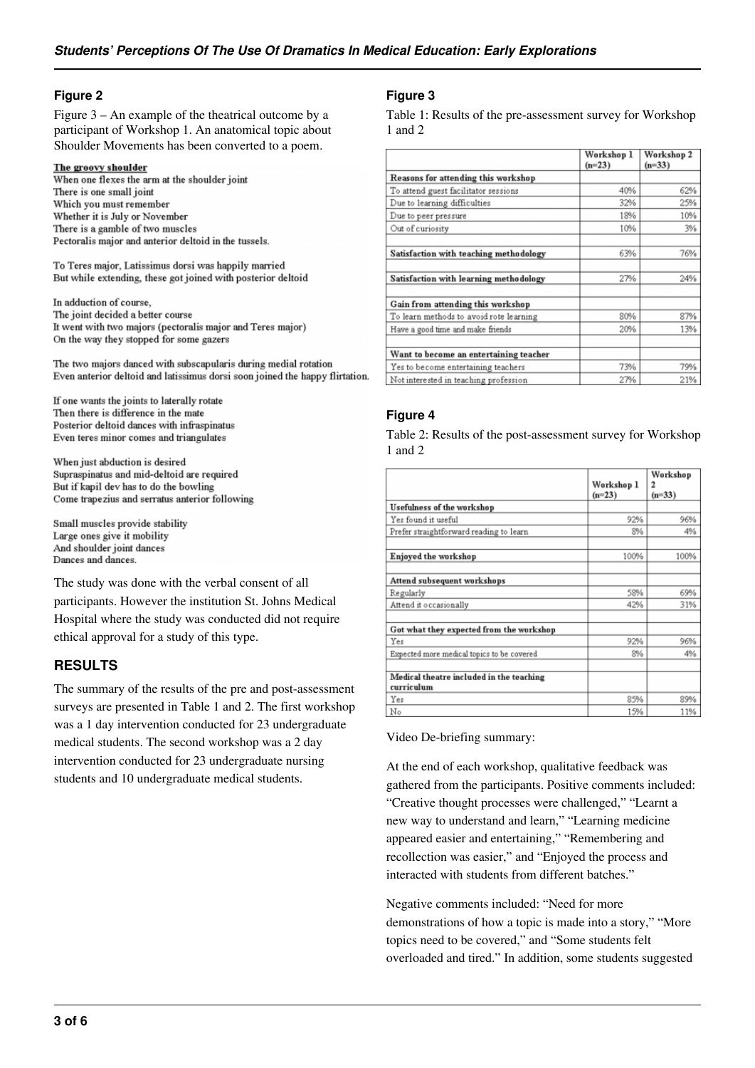## **Figure 2**

Figure 3 – An example of the theatrical outcome by a participant of Workshop 1. An anatomical topic about Shoulder Movements has been converted to a poem.

#### The groovy shoulder

When one flexes the arm at the shoulder joint There is one small joint Which you must remember Whether it is July or November There is a gamble of two muscles Pectoralis major and anterior deltoid in the tussels.

To Teres major, Latissimus dorsi was happily married But while extending, these got joined with posterior deltoid

In adduction of course, The joint decided a better course It went with two majors (pectoralis major and Teres major) On the way they stopped for some gazers

The two majors danced with subscapularis during medial rotation Even anterior deltoid and latissimus dorsi soon joined the happy flirtation.

If one wants the joints to laterally rotate Then there is difference in the mate Posterior deltoid dances with infraspinatus Even teres minor comes and triangulates

When just abduction is desired Supraspinatus and mid-deltoid are required But if kapil dev has to do the bowling Come trapezius and serratus anterior following

Small muscles provide stability Large ones give it mobility And shoulder joint dances Dances and dances.

The study was done with the verbal consent of all participants. However the institution St. Johns Medical Hospital where the study was conducted did not require ethical approval for a study of this type.

# **RESULTS**

The summary of the results of the pre and post-assessment surveys are presented in Table 1 and 2. The first workshop was a 1 day intervention conducted for 23 undergraduate medical students. The second workshop was a 2 day intervention conducted for 23 undergraduate nursing students and 10 undergraduate medical students.

## **Figure 3**

Table 1: Results of the pre-assessment survey for Workshop 1 and 2

|                                         | Workshop 1<br>$(n=23)$ | Workshop 2<br>$(n=33)$ |
|-----------------------------------------|------------------------|------------------------|
| Reasons for attending this workshop     |                        |                        |
| To attend guest facilitator sessions    | 40%                    | 62%                    |
| Due to learning difficulties            | 32%                    | 25%                    |
| Due to peer pressure                    | 18%                    | 10%                    |
| Out of curiosity                        | 10%                    | 3%                     |
| Satisfaction with teaching methodology  | 63%                    | 76%                    |
| Satisfaction with learning methodology  | 27%                    | 24%                    |
| Gain from attending this workshop       |                        |                        |
| To learn methods to avoid rote learning | 80%                    | 87%                    |
| Have a good time and make friends       | 20%                    | 13%                    |
| Want to become an entertaining teacher  |                        |                        |
| Yes to become entertaining teachers     | 73%                    | 79%                    |
| Not interested in teaching profession   | 27%                    | 21%                    |

## **Figure 4**

Table 2: Results of the post-assessment survey for Workshop 1 and 2

|                                                        | Workshop 1<br>$(n=23)$ | Workshop<br>2<br>$(n=33)$ |
|--------------------------------------------------------|------------------------|---------------------------|
| Usefulness of the workshop                             |                        |                           |
| Yes found it useful                                    | 92%                    | 96%                       |
| Prefer straightforward reading to learn                | 8%                     | 4%                        |
| Enjoyed the workshop                                   | 100%                   | 100%                      |
| Attend subsequent workshops                            |                        |                           |
| Regularly                                              | 58%                    | 69%                       |
| Attend it occasionally                                 | 42%                    | 31%                       |
| Got what they expected from the workshop               |                        |                           |
| Yes                                                    | 92%                    | 96%                       |
| Expected more medical topics to be covered             | 8%                     | 4%                        |
| Medical theatre included in the teaching<br>curriculum |                        |                           |
| Yes                                                    | 85%                    | 89%                       |
| No                                                     | 15%                    | 11%                       |

Video De-briefing summary:

At the end of each workshop, qualitative feedback was gathered from the participants. Positive comments included: "Creative thought processes were challenged," "Learnt a new way to understand and learn," "Learning medicine appeared easier and entertaining," "Remembering and recollection was easier," and "Enjoyed the process and interacted with students from different batches."

Negative comments included: "Need for more demonstrations of how a topic is made into a story," "More topics need to be covered," and "Some students felt overloaded and tired." In addition, some students suggested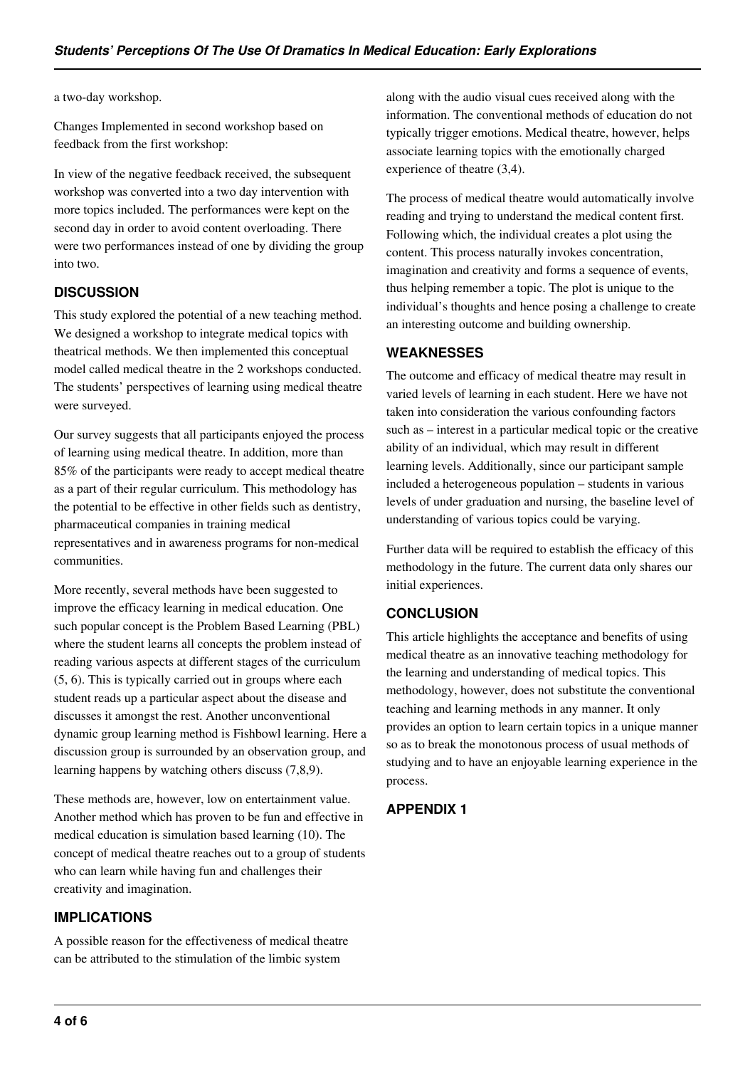#### a two-day workshop.

Changes Implemented in second workshop based on feedback from the first workshop:

In view of the negative feedback received, the subsequent workshop was converted into a two day intervention with more topics included. The performances were kept on the second day in order to avoid content overloading. There were two performances instead of one by dividing the group into two.

## **DISCUSSION**

This study explored the potential of a new teaching method. We designed a workshop to integrate medical topics with theatrical methods. We then implemented this conceptual model called medical theatre in the 2 workshops conducted. The students' perspectives of learning using medical theatre were surveyed.

Our survey suggests that all participants enjoyed the process of learning using medical theatre. In addition, more than 85% of the participants were ready to accept medical theatre as a part of their regular curriculum. This methodology has the potential to be effective in other fields such as dentistry, pharmaceutical companies in training medical representatives and in awareness programs for non-medical communities.

More recently, several methods have been suggested to improve the efficacy learning in medical education. One such popular concept is the Problem Based Learning (PBL) where the student learns all concepts the problem instead of reading various aspects at different stages of the curriculum (5, 6). This is typically carried out in groups where each student reads up a particular aspect about the disease and discusses it amongst the rest. Another unconventional dynamic group learning method is Fishbowl learning. Here a discussion group is surrounded by an observation group, and learning happens by watching others discuss (7,8,9).

These methods are, however, low on entertainment value. Another method which has proven to be fun and effective in medical education is simulation based learning (10). The concept of medical theatre reaches out to a group of students who can learn while having fun and challenges their creativity and imagination.

## **IMPLICATIONS**

A possible reason for the effectiveness of medical theatre can be attributed to the stimulation of the limbic system

along with the audio visual cues received along with the information. The conventional methods of education do not typically trigger emotions. Medical theatre, however, helps associate learning topics with the emotionally charged experience of theatre (3,4).

The process of medical theatre would automatically involve reading and trying to understand the medical content first. Following which, the individual creates a plot using the content. This process naturally invokes concentration, imagination and creativity and forms a sequence of events, thus helping remember a topic. The plot is unique to the individual's thoughts and hence posing a challenge to create an interesting outcome and building ownership.

## **WEAKNESSES**

The outcome and efficacy of medical theatre may result in varied levels of learning in each student. Here we have not taken into consideration the various confounding factors such as – interest in a particular medical topic or the creative ability of an individual, which may result in different learning levels. Additionally, since our participant sample included a heterogeneous population – students in various levels of under graduation and nursing, the baseline level of understanding of various topics could be varying.

Further data will be required to establish the efficacy of this methodology in the future. The current data only shares our initial experiences.

## **CONCLUSION**

This article highlights the acceptance and benefits of using medical theatre as an innovative teaching methodology for the learning and understanding of medical topics. This methodology, however, does not substitute the conventional teaching and learning methods in any manner. It only provides an option to learn certain topics in a unique manner so as to break the monotonous process of usual methods of studying and to have an enjoyable learning experience in the process.

## **APPENDIX 1**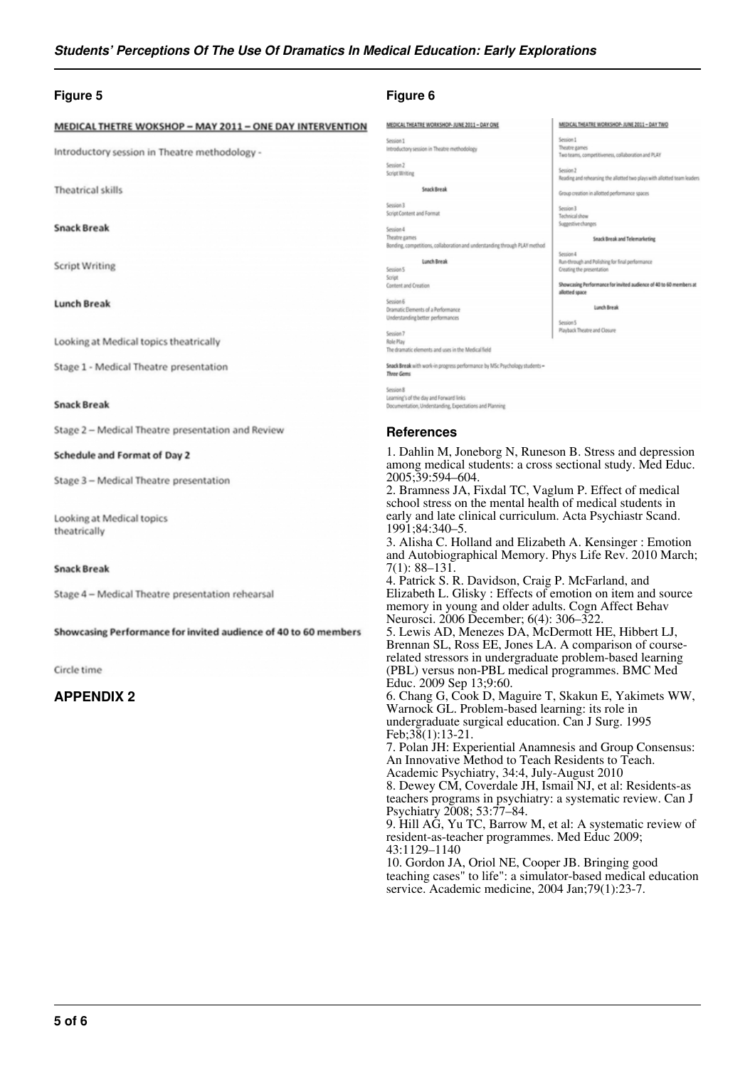#### **Figure 5**

#### MEDICAL THETRE WOKSHOP - MAY 2011 - ONE DAY INTERVENTION

Introductory session in Theatre methodology -

**Theatrical skills** 

#### **Snack Break**

**Script Writing** 

#### **Lunch Break**

Looking at Medical topics theatrically

Stage 1 - Medical Theatre presentation

#### **Snack Break**

Stage 2 - Medical Theatre presentation and Review

#### Schedule and Format of Day 2

Stage 3 - Medical Theatre presentation

Looking at Medical topics theatrically

#### **Snack Break**

Stage 4 - Medical Theatre presentation rehearsal

Showcasing Performance for invited audience of 40 to 60 members

#### Circle time

## **APPENDIX 2**

#### **Figure 6**

| MEDICAL THEATRE WORKSHOP-JUNE 2011 - DAY ONE                               | MEDICAL THEATRE WORKSHOP-JUNE 2011 - DAY TWO                                         |
|----------------------------------------------------------------------------|--------------------------------------------------------------------------------------|
| Session 1                                                                  | Session 1                                                                            |
| ntroductory session in Theatre methodology                                 | Theatre games<br>Two teams, competitiveness, collaboration and PLAY                  |
| Session <sub>2</sub>                                                       |                                                                                      |
| <b>Script Writing</b>                                                      | Session 2                                                                            |
|                                                                            | Reading and rehearsing the allotted two plays with allotted team leaders             |
| Snack Break                                                                | Group creation in allotted performance spaces                                        |
| E noissi                                                                   |                                                                                      |
| Script Content and Format                                                  | Session 3                                                                            |
|                                                                            | Technical show                                                                       |
| Session 4                                                                  | Suzzestive changes                                                                   |
| Theatre games                                                              | Snack Break and Telemarketing                                                        |
| Bonding, competitions, collaboration and understanding through PLAY method |                                                                                      |
|                                                                            | Session 4                                                                            |
| Lunch Break                                                                | Run-through and Polishing for final performance                                      |
| <b>Lession 5</b>                                                           | Creating the presentation                                                            |
| <b>Script</b>                                                              |                                                                                      |
| Content and Creation                                                       | Showcasing Performance for invited audience of 40 to 60 members at<br>allotted space |
| Jession 6                                                                  |                                                                                      |
| Dramatic Elements of a Performance                                         | Lunch Revak                                                                          |
| Understanding better performances                                          |                                                                                      |
|                                                                            | Session 5                                                                            |
| Session 7                                                                  | Playback Theatre and Closure                                                         |
| <b>Jole Play</b>                                                           |                                                                                      |
| The dramatic elements and uses in the Medical field                        |                                                                                      |
| Snack Break with work-in progress performance by MSc Psychology students - |                                                                                      |
| Three Gems                                                                 |                                                                                      |
|                                                                            |                                                                                      |

no's of the day and Forward links es and Plan

#### **References**

1. Dahlin M, Joneborg N, Runeson B. Stress and depression among medical students: a cross sectional study. Med Educ. 2005;39:594–604.

2. Bramness JA, Fixdal TC, Vaglum P. Effect of medical school stress on the mental health of medical students in early and late clinical curriculum. Acta Psychiastr Scand. 1991;84:340–5.

3. Alisha C. Holland and Elizabeth A. Kensinger : Emotion and Autobiographical Memory. Phys Life Rev. 2010 March; 7(1): 88–131.

4. Patrick S. R. Davidson, Craig P. McFarland, and Elizabeth L. Glisky : Effects of emotion on item and source memory in young and older adults. Cogn Affect Behav Neurosci. 2006 December; 6(4): 306–322.

5. Lewis AD, Menezes DA, McDermott HE, Hibbert LJ, Brennan SL, Ross EE, Jones LA. A comparison of courserelated stressors in undergraduate problem-based learning (PBL) versus non-PBL medical programmes. BMC Med Educ. 2009 Sep 13;9:60.

6. Chang G, Cook D, Maguire T, Skakun E, Yakimets WW, Warnock GL. Problem-based learning: its role in undergraduate surgical education. Can J Surg. 1995 Feb;38(1):13-21.

7. Polan JH: Experiential Anamnesis and Group Consensus: An Innovative Method to Teach Residents to Teach. Academic Psychiatry, 34:4, July-August 2010 8. Dewey CM, Coverdale JH, Ismail NJ, et al: Residents-as

teachers programs in psychiatry: a systematic review. Can J Psychiatry 2008; 53:77–84.

9. Hill AG, Yu TC, Barrow M, et al: A systematic review of resident-as-teacher programmes. Med Educ 2009; 43:1129–1140

10. Gordon JA, Oriol NE, Cooper JB. Bringing good teaching cases" to life": a simulator-based medical education service. Academic medicine, 2004 Jan;79(1):23-7.